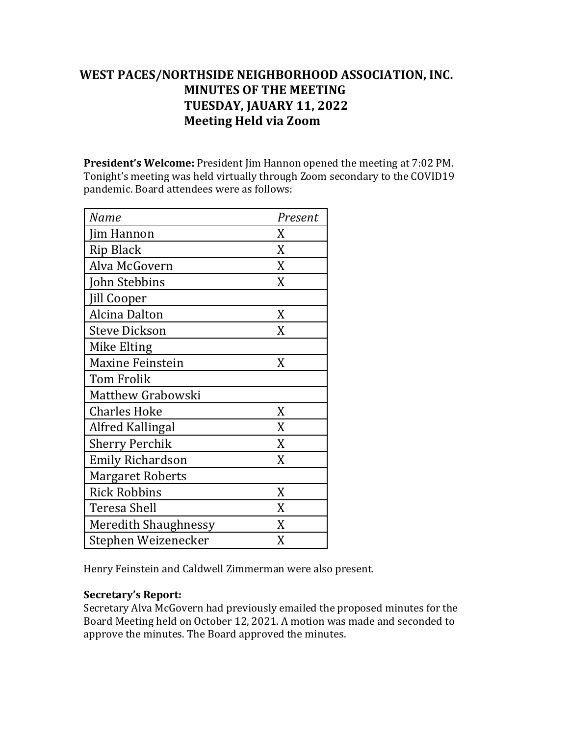# WEST PACES/NORTHSIDE NEIGHBORHOOD ASSOCIATION, INC. **MINUTES OF THE MEETING TUESDAY, JAUARY 11, 2022 Meeting Held via Zoom**

**President's Welcome:** President Jim Hannon opened the meeting at 7:02 PM. Tonight's meeting was held virtually through Zoom secondary to the COVID19 pandemic. Board attendees were as follows:

| Name                        | Present |
|-----------------------------|---------|
| Jim Hannon                  | X       |
| <b>Rip Black</b>            | X       |
| Alva McGovern               | X       |
| John Stebbins               | X       |
| <b>Jill Cooper</b>          |         |
| Alcina Dalton               | X       |
| <b>Steve Dickson</b>        | X       |
| Mike Elting                 |         |
| <b>Maxine Feinstein</b>     | X       |
| <b>Tom Frolik</b>           |         |
| Matthew Grabowski           |         |
| <b>Charles Hoke</b>         | X       |
| Alfred Kallingal            | X       |
| <b>Sherry Perchik</b>       | X       |
| <b>Emily Richardson</b>     | X       |
| <b>Margaret Roberts</b>     |         |
| <b>Rick Robbins</b>         | X       |
| Teresa Shell                | X       |
| <b>Meredith Shaughnessy</b> | X       |
| Stephen Weizenecker         | X       |

Henry Feinstein and Caldwell Zimmerman were also present.

## **Secretary's Report:**

Secretary Alva McGovern had previously emailed the proposed minutes for the Board Meeting held on October 12, 2021. A motion was made and seconded to approve the minutes. The Board approved the minutes.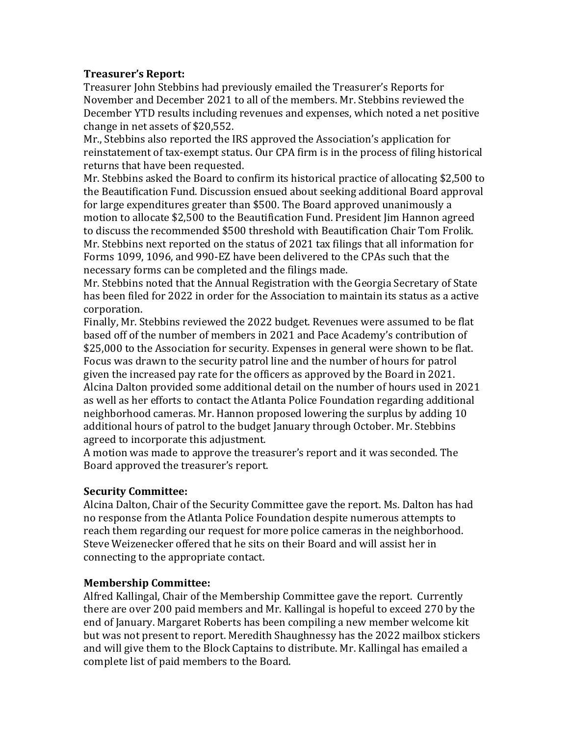# **Treasurer's Report:**

Treasurer John Stebbins had previously emailed the Treasurer's Reports for November and December 2021 to all of the members. Mr. Stebbins reviewed the December YTD results including revenues and expenses, which noted a net positive change in net assets of \$20,552.

Mr., Stebbins also reported the IRS approved the Association's application for reinstatement of tax-exempt status. Our CPA firm is in the process of filing historical returns that have been requested.

Mr. Stebbins asked the Board to confirm its historical practice of allocating \$2,500 to the Beautification Fund. Discussion ensued about seeking additional Board approval for large expenditures greater than \$500. The Board approved unanimously a motion to allocate \$2,500 to the Beautification Fund. President Jim Hannon agreed to discuss the recommended \$500 threshold with Beautification Chair Tom Frolik. Mr. Stebbins next reported on the status of 2021 tax filings that all information for Forms 1099, 1096, and 990-EZ have been delivered to the CPAs such that the necessary forms can be completed and the filings made.

Mr. Stebbins noted that the Annual Registration with the Georgia Secretary of State has been filed for 2022 in order for the Association to maintain its status as a active corporation.

Finally, Mr. Stebbins reviewed the 2022 budget. Revenues were assumed to be flat based off of the number of members in 2021 and Pace Academy's contribution of \$25,000 to the Association for security. Expenses in general were shown to be flat. Focus was drawn to the security patrol line and the number of hours for patrol given the increased pay rate for the officers as approved by the Board in 2021. Alcina Dalton provided some additional detail on the number of hours used in 2021 as well as her efforts to contact the Atlanta Police Foundation regarding additional neighborhood cameras. Mr. Hannon proposed lowering the surplus by adding 10 additional hours of patrol to the budget January through October. Mr. Stebbins agreed to incorporate this adjustment.

A motion was made to approve the treasurer's report and it was seconded. The Board approved the treasurer's report.

## **Security Committee:**

Alcina Dalton, Chair of the Security Committee gave the report. Ms. Dalton has had no response from the Atlanta Police Foundation despite numerous attempts to reach them regarding our request for more police cameras in the neighborhood. Steve Weizenecker offered that he sits on their Board and will assist her in connecting to the appropriate contact.

## **Membership Committee:**

Alfred Kallingal, Chair of the Membership Committee gave the report. Currently there are over 200 paid members and Mr. Kallingal is hopeful to exceed 270 by the end of January. Margaret Roberts has been compiling a new member welcome kit but was not present to report. Meredith Shaughnessy has the 2022 mailbox stickers and will give them to the Block Captains to distribute. Mr. Kallingal has emailed a complete list of paid members to the Board.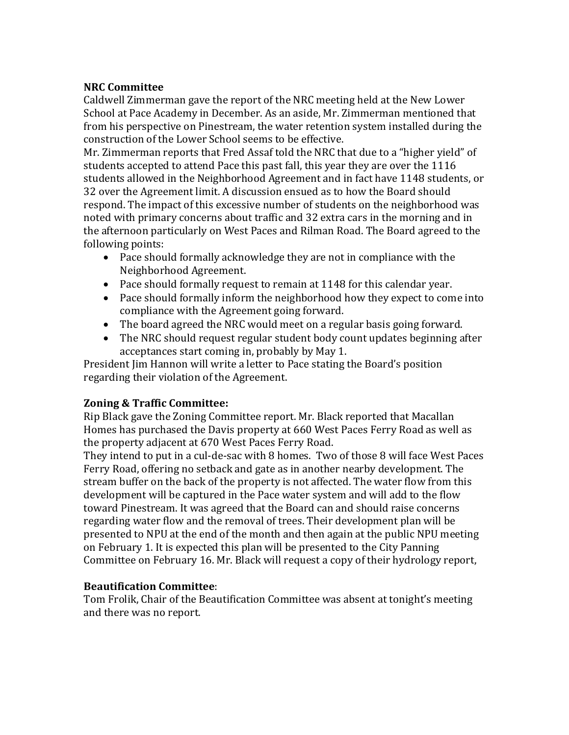## **NRC Committee**

Caldwell Zimmerman gave the report of the NRC meeting held at the New Lower School at Pace Academy in December. As an aside, Mr. Zimmerman mentioned that from his perspective on Pinestream, the water retention system installed during the construction of the Lower School seems to be effective.

Mr. Zimmerman reports that Fred Assaf told the NRC that due to a "higher yield" of students accepted to attend Pace this past fall, this year they are over the 1116 students allowed in the Neighborhood Agreement and in fact have 1148 students, or 32 over the Agreement limit. A discussion ensued as to how the Board should respond. The impact of this excessive number of students on the neighborhood was noted with primary concerns about traffic and 32 extra cars in the morning and in the afternoon particularly on West Paces and Rilman Road. The Board agreed to the following points:

- Pace should formally acknowledge they are not in compliance with the Neighborhood Agreement.
- Pace should formally request to remain at 1148 for this calendar year.
- Pace should formally inform the neighborhood how they expect to come into compliance with the Agreement going forward.
- The board agreed the NRC would meet on a regular basis going forward.
- The NRC should request regular student body count updates beginning after acceptances start coming in, probably by May 1.

President Jim Hannon will write a letter to Pace stating the Board's position regarding their violation of the Agreement.

# **Zoning & Traffic Committee:**

Rip Black gave the Zoning Committee report. Mr. Black reported that Macallan Homes has purchased the Davis property at 660 West Paces Ferry Road as well as the property adjacent at 670 West Paces Ferry Road.

They intend to put in a cul-de-sac with 8 homes. Two of those 8 will face West Paces Ferry Road, offering no setback and gate as in another nearby development. The stream buffer on the back of the property is not affected. The water flow from this development will be captured in the Pace water system and will add to the flow toward Pinestream. It was agreed that the Board can and should raise concerns regarding water flow and the removal of trees. Their development plan will be presented to NPU at the end of the month and then again at the public NPU meeting on February 1. It is expected this plan will be presented to the City Panning Committee on February 16. Mr. Black will request a copy of their hydrology report,

## **Beautification Committee**:

Tom Frolik, Chair of the Beautification Committee was absent at tonight's meeting and there was no report.